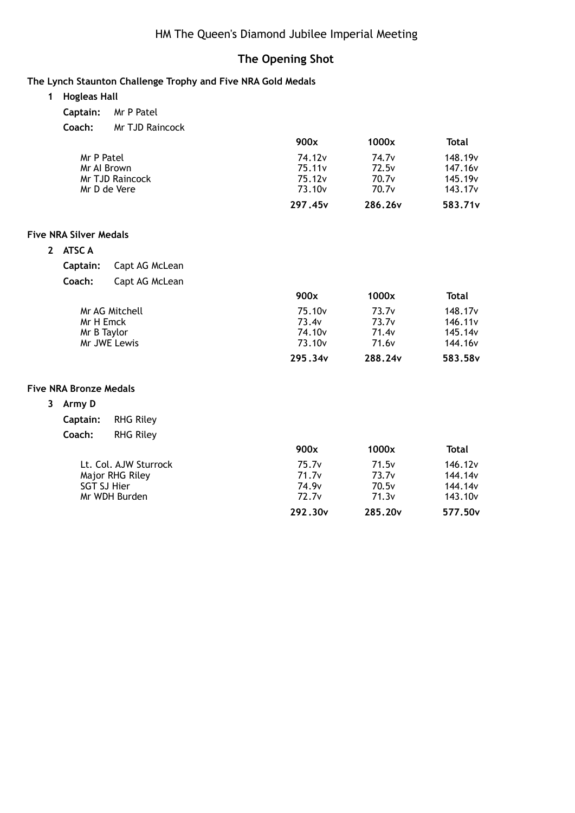## HM The Queen's Diamond Jubilee Imperial Meeting

## **The Opening Shot**

#### **The Lynch Staunton Challenge Trophy and Five NRA Gold Medals**

- **1 Hogleas Hall**
	- **Captain:** Mr P Patel
	- **Coach:** Mr TJD Raincock

|                 | 900x                | 1000x               | Total               |
|-----------------|---------------------|---------------------|---------------------|
| Mr P Patel      | 74.12 <sub>v</sub>  | 74.7 <sub>v</sub>   | 148.19 <sub>v</sub> |
| Mr Al Brown     | 75.11v              | 72.5v               | 147.16 <sub>v</sub> |
| Mr TJD Raincock | 75.12v              | 70.7v               | 145.19 <sub>v</sub> |
| Mr D de Vere    | 73.10 <sub>v</sub>  | 70.7v               | 143.17 <sub>v</sub> |
|                 | 297.45 <sub>v</sub> | 286.26 <sub>v</sub> | 583.71 <sub>v</sub> |

#### **Five NRA Silver Medals**

| 2 | ATSC A |  |
|---|--------|--|
|   |        |  |

| <b>Captain:</b> | Capt AG McLean |
|-----------------|----------------|
|-----------------|----------------|

| Coach: | Capt AG McLean |
|--------|----------------|
|--------|----------------|

|                | 900x               | 1000x             | Total               |
|----------------|--------------------|-------------------|---------------------|
| Mr AG Mitchell | 75.10 <sub>v</sub> | 73.7 <sub>v</sub> | 148.17 <sub>v</sub> |
| Mr H Emck      | 73.4v              | 73.7v             | 146.11 <sub>v</sub> |
| Mr B Taylor    | 74.10 <sub>v</sub> | 71.4 <sub>v</sub> | 145.14 <sub>v</sub> |
| Mr JWE Lewis   | 73.10 <sub>v</sub> | 71.6 <sub>v</sub> | 144.16 <sub>v</sub> |
|                | 295.34v            | 288.24v           | 583.58 <sub>v</sub> |

#### **Five NRA Bronze Medals**

**3 Army D**

| Captain: | <b>RHG Riley</b> |
|----------|------------------|
| Coach:   | <b>RHG Riley</b> |

|                       | 900x                | 1000x               | Total               |
|-----------------------|---------------------|---------------------|---------------------|
| Lt. Col. AJW Sturrock | 75.7 <sub>v</sub>   | 71.5v               | 146.12 <sub>v</sub> |
| Major RHG Riley       | 71.7v               | 73.7 <sub>v</sub>   | 144.14 <sub>v</sub> |
| <b>SGT SJ Hier</b>    | 74.9 <sub>v</sub>   | 70.5v               | 144.14 <sub>v</sub> |
| Mr WDH Burden         | 72.7 <sub>v</sub>   | 71.3v               | 143.10 <sub>v</sub> |
|                       | 292.30 <sub>v</sub> | 285.20 <sub>v</sub> | 577.50 <sub>v</sub> |